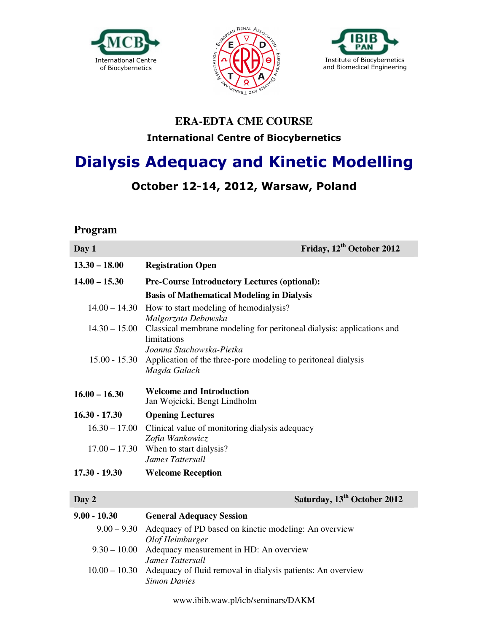





### **ERA-EDTA CME COURSE International Centre of Biocybernetics**

# **Dialysis Adequacy and Kinetic Modelling**

## **October 12-14, 2012, Warsaw, Poland**

#### **Program**

| Day 1           | Friday, 12 <sup>th</sup> October 2012                                                |
|-----------------|--------------------------------------------------------------------------------------|
| $13.30 - 18.00$ | <b>Registration Open</b>                                                             |
| $14.00 - 15.30$ | <b>Pre-Course Introductory Lectures (optional):</b>                                  |
|                 | <b>Basis of Mathematical Modeling in Dialysis</b>                                    |
| $14.00 - 14.30$ | How to start modeling of hemodialysis?<br>Malgorzata Debowska                        |
| $14.30 - 15.00$ | Classical membrane modeling for peritoneal dialysis: applications and<br>limitations |
|                 | Joanna Stachowska-Pietka                                                             |
| $15.00 - 15.30$ | Application of the three-pore modeling to peritoneal dialysis<br>Magda Galach        |
| $16.00 - 16.30$ | <b>Welcome and Introduction</b><br>Jan Wojcicki, Bengt Lindholm                      |
| $16.30 - 17.30$ | <b>Opening Lectures</b>                                                              |
| $16.30 - 17.00$ | Clinical value of monitoring dialysis adequacy<br>Zofia Wankowicz                    |
| $17.00 - 17.30$ | When to start dialysis?<br>James Tattersall                                          |
| $17.30 - 19.30$ | <b>Welcome Reception</b>                                                             |
|                 |                                                                                      |
| Day 2           | Saturday, 13 <sup>th</sup> October 2012                                              |
| $9.00 - 10.30$  | <b>General Adequacy Session</b>                                                      |
|                 | 9.00 – 9.30 Adequacy of PD based on kinetic modeling: An overview                    |

*Olof Heimburger* 9.30 – 10.00 Adequacy measurement in HD: An overview *James Tattersall*  10.00 – 10.30 Adequacy of fluid removal in dialysis patients: An overview *Simon Davies*

www.ibib.waw.pl/icb/seminars/DAKM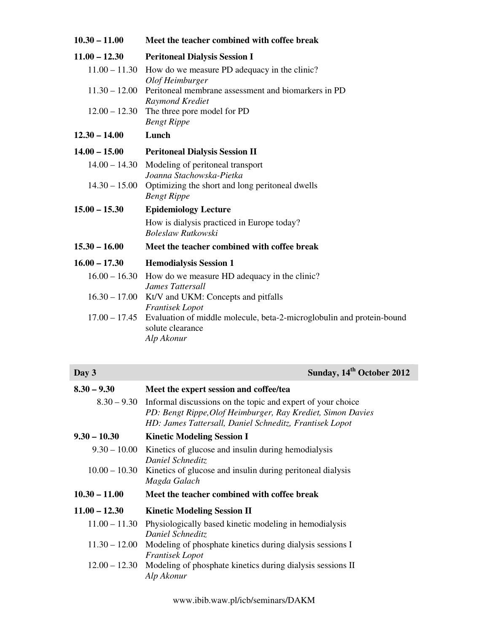| $10.30 - 11.00$ | Meet the teacher combined with coffee break                                                                           |
|-----------------|-----------------------------------------------------------------------------------------------------------------------|
| $11.00 - 12.30$ | <b>Peritoneal Dialysis Session I</b>                                                                                  |
| $11.00 - 11.30$ | How do we measure PD adequacy in the clinic?                                                                          |
|                 | Olof Heimburger                                                                                                       |
| $11.30 - 12.00$ | Peritoneal membrane assessment and biomarkers in PD                                                                   |
|                 | Raymond Krediet<br>$12.00 - 12.30$ The three pore model for PD                                                        |
|                 | <b>Bengt Rippe</b>                                                                                                    |
| $12.30 - 14.00$ | Lunch                                                                                                                 |
| $14.00 - 15.00$ | <b>Peritoneal Dialysis Session II</b>                                                                                 |
| $14.00 - 14.30$ | Modeling of peritoneal transport                                                                                      |
|                 | Joanna Stachowska-Pietka                                                                                              |
| $14.30 - 15.00$ | Optimizing the short and long peritoneal dwells<br><b>Bengt Rippe</b>                                                 |
| $15.00 - 15.30$ | <b>Epidemiology Lecture</b>                                                                                           |
|                 | How is dialysis practiced in Europe today?<br>Boleslaw Rutkowski                                                      |
| $15.30 - 16.00$ | Meet the teacher combined with coffee break                                                                           |
| $16.00 - 17.30$ | <b>Hemodialysis Session 1</b>                                                                                         |
| $16.00 - 16.30$ | How do we measure HD adequacy in the clinic?<br>James Tattersall                                                      |
|                 | 16.30 - 17.00 Kt/V and UKM: Concepts and pitfalls<br><b>Frantisek</b> Lopot                                           |
|                 | 17.00 – 17.45 Evaluation of middle molecule, beta-2-microglobulin and protein-bound<br>solute clearance<br>Alp Akonur |

| Day 3         | Sunday, 14 <sup>th</sup> October 2012                                     |
|---------------|---------------------------------------------------------------------------|
| $8.30 - 9.30$ | Meet the expert session and coffee/tea                                    |
|               | $8.30 - 9.30$ Informal discussions on the topic and expert of your choice |

|                 | week the expert besiten und contexted                                                                                                                                                               |
|-----------------|-----------------------------------------------------------------------------------------------------------------------------------------------------------------------------------------------------|
|                 | $8.30 - 9.30$ Informal discussions on the topic and expert of your choice<br>PD: Bengt Rippe, Olof Heimburger, Ray Krediet, Simon Davies<br>HD: James Tattersall, Daniel Schneditz, Frantisek Lopot |
| $9.30 - 10.30$  | <b>Kinetic Modeling Session I</b>                                                                                                                                                                   |
| $9.30 - 10.00$  | Kinetics of glucose and insulin during hemodialysis<br>Daniel Schneditz                                                                                                                             |
| $10.00 - 10.30$ | Kinetics of glucose and insulin during peritoneal dialysis<br>Magda Galach                                                                                                                          |
|                 |                                                                                                                                                                                                     |
| $10.30 - 11.00$ | Meet the teacher combined with coffee break                                                                                                                                                         |
| $11.00 - 12.30$ | <b>Kinetic Modeling Session II</b>                                                                                                                                                                  |
| $11.00 - 11.30$ | Physiologically based kinetic modeling in hemodialysis<br>Daniel Schneditz                                                                                                                          |
| $11.30 - 12.00$ | Modeling of phosphate kinetics during dialysis sessions I<br>Frantisek Lopot                                                                                                                        |